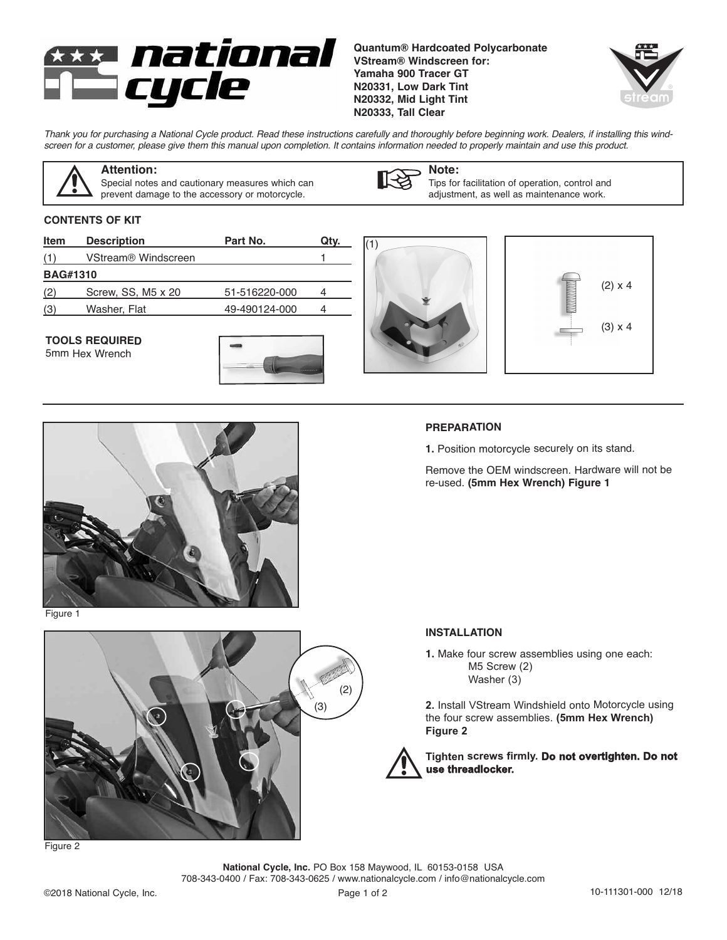

**Quantum® Hardcoated Polycarbonate VStream® Windscreen for: Yamaha 900 Tracer GT N20331, Low Dark Tint N20332, Mid Light Tint N20333, Tall Clear**



Thank you for purchasing a National Cycle product. Read these instructions carefully and thoroughly before beginning work. Dealers, if installing this windscreen for a customer, please give them this manual upon completion. It contains information needed to properly maintain and use this product.



## **Attention:**

Special notes and cautionary measures which can prevent damage to the accessory or motorcycle.



**Note:** Tips for facilitation of operation, control and adjustment, as well as maintenance work.

### **CONTENTS OF KIT**

| Item                                    | <b>Description</b>              | Part No.      | Qty.             |                                         |
|-----------------------------------------|---------------------------------|---------------|------------------|-----------------------------------------|
| (1)                                     | VStream <sup>®</sup> Windscreen |               |                  |                                         |
| <b>BAG#1310</b>                         |                                 |               |                  |                                         |
| (2)                                     | Screw, SS, M5 x 20              | 51-516220-000 | 4                | <b>THE MANUSCRIPT</b><br>$(2) \times 4$ |
| (3)                                     | Washer, Flat                    | 49-490124-000 | 4                |                                         |
| <b>TOOLS REQUIRED</b><br>5mm Hex Wrench |                                 |               | <b>CHAVISHAN</b> | $(3) \times 4$                          |



Figure 1



### **PREPARATION**

**1.** Position motorcycle securely on its stand.

Remove the OEM windscreen. Hardware will not be re-used. **(5mm Hex Wrench) Figure 1**

#### **INSTALLATION**

**1.** Make four screw assemblies using one each: M5 Screw (2) Washer (3)

**2.** Install VStream Windshield onto Motorcycle using the four screw assemblies. **(5mm Hex Wrench) Figure 2**



**National Cycle, Inc.** PO Box 158 Maywood, IL 60153-0158 USA 708-343-0400 / Fax: 708-343-0625 / www.nationalcycle.com / info@nationalcycle.com

Figure 2